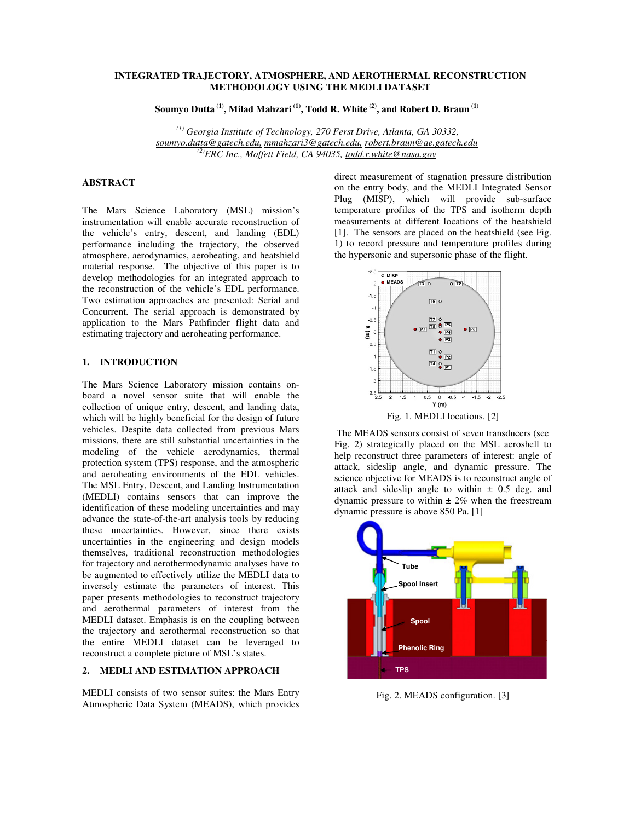# **INTEGRATED TRAJECTORY, ATMOSPHERE, AND AEROTHERMAL RECONSTRUCTION METHODOLOGY USING THE MEDLI DATASET**

**Soumyo Dutta (1), Milad Mahzari (1), Todd R. White (2), and Robert D. Braun (1)**

 *(1) Georgia Institute of Technology, 270 Ferst Drive, Atlanta, GA 30332, soumyo.dutta@gatech.edu, mmahzari3@gatech.edu, robert.braun@ae.gatech.edu (2)ERC Inc., Moffett Field, CA 94035, todd.r.white@nasa.gov*

# **ABSTRACT**

The Mars Science Laboratory (MSL) mission's instrumentation will enable accurate reconstruction of the vehicle's entry, descent, and landing (EDL) performance including the trajectory, the observed atmosphere, aerodynamics, aeroheating, and heatshield material response. The objective of this paper is to develop methodologies for an integrated approach to the reconstruction of the vehicle's EDL performance. Two estimation approaches are presented: Serial and Concurrent. The serial approach is demonstrated by application to the Mars Pathfinder flight data and estimating trajectory and aeroheating performance.

# **1. INTRODUCTION**

The Mars Science Laboratory mission contains onboard a novel sensor suite that will enable the collection of unique entry, descent, and landing data, which will be highly beneficial for the design of future vehicles. Despite data collected from previous Mars missions, there are still substantial uncertainties in the modeling of the vehicle aerodynamics, thermal protection system (TPS) response, and the atmospheric and aeroheating environments of the EDL vehicles. The MSL Entry, Descent, and Landing Instrumentation (MEDLI) contains sensors that can improve the identification of these modeling uncertainties and may advance the state-of-the-art analysis tools by reducing these uncertainties. However, since there exists uncertainties in the engineering and design models themselves, traditional reconstruction methodologies for trajectory and aerothermodynamic analyses have to be augmented to effectively utilize the MEDLI data to inversely estimate the parameters of interest. This paper presents methodologies to reconstruct trajectory and aerothermal parameters of interest from the MEDLI dataset. Emphasis is on the coupling between the trajectory and aerothermal reconstruction so that the entire MEDLI dataset can be leveraged to reconstruct a complete picture of MSL's states.

# **2. MEDLI AND ESTIMATION APPROACH**

MEDLI consists of two sensor suites: the Mars Entry Atmospheric Data System (MEADS), which provides direct measurement of stagnation pressure distribution on the entry body, and the MEDLI Integrated Sensor Plug (MISP), which will provide sub-surface temperature profiles of the TPS and isotherm depth measurements at different locations of the heatshield [1]. The sensors are placed on the heatshield (see Fig. 1) to record pressure and temperature profiles during the hypersonic and supersonic phase of the flight.



The MEADS sensors consist of seven transducers (see Fig. 2) strategically placed on the MSL aeroshell to help reconstruct three parameters of interest: angle of attack, sideslip angle, and dynamic pressure. The science objective for MEADS is to reconstruct angle of attack and sideslip angle to within  $\pm$  0.5 deg. and dynamic pressure to within  $\pm 2\%$  when the freestream dynamic pressure is above 850 Pa. [1]



Fig. 2. MEADS configuration. [3]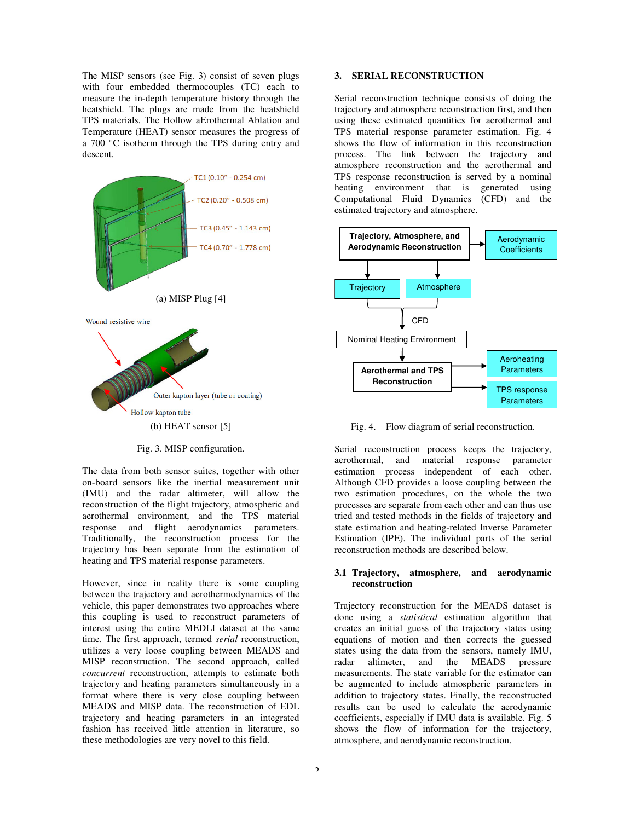The MISP sensors (see Fig. 3) consist of seven plugs with four embedded thermocouples (TC) each to measure the in-depth temperature history through the heatshield. The plugs are made from the heatshield TPS materials. The Hollow aErothermal Ablation and Temperature (HEAT) sensor measures the progress of a 700 °C isotherm through the TPS during entry and descent.



Fig. 3. MISP configuration.

The data from both sensor suites, together with other on-board sensors like the inertial measurement unit (IMU) and the radar altimeter, will allow the reconstruction of the flight trajectory, atmospheric and aerothermal environment, and the TPS material response and flight aerodynamics parameters. Traditionally, the reconstruction process for the trajectory has been separate from the estimation of heating and TPS material response parameters.

However, since in reality there is some coupling between the trajectory and aerothermodynamics of the vehicle, this paper demonstrates two approaches where this coupling is used to reconstruct parameters of interest using the entire MEDLI dataset at the same time. The first approach, termed *serial* reconstruction, utilizes a very loose coupling between MEADS and MISP reconstruction. The second approach, called *concurrent* reconstruction, attempts to estimate both trajectory and heating parameters simultaneously in a format where there is very close coupling between MEADS and MISP data. The reconstruction of EDL trajectory and heating parameters in an integrated fashion has received little attention in literature, so these methodologies are very novel to this field.

#### **3. SERIAL RECONSTRUCTION**

Serial reconstruction technique consists of doing the trajectory and atmosphere reconstruction first, and then using these estimated quantities for aerothermal and TPS material response parameter estimation. Fig. 4 shows the flow of information in this reconstruction process. The link between the trajectory and atmosphere reconstruction and the aerothermal and TPS response reconstruction is served by a nominal heating environment that is generated using Computational Fluid Dynamics (CFD) and the estimated trajectory and atmosphere.



Fig. 4. Flow diagram of serial reconstruction.

Serial reconstruction process keeps the trajectory, aerothermal, and material response parameter estimation process independent of each other. Although CFD provides a loose coupling between the two estimation procedures, on the whole the two processes are separate from each other and can thus use tried and tested methods in the fields of trajectory and state estimation and heating-related Inverse Parameter Estimation (IPE). The individual parts of the serial reconstruction methods are described below.

# **3.1 Trajectory, atmosphere, and aerodynamic reconstruction**

Trajectory reconstruction for the MEADS dataset is done using a *statistical* estimation algorithm that creates an initial guess of the trajectory states using equations of motion and then corrects the guessed states using the data from the sensors, namely IMU, radar altimeter, and the MEADS pressure measurements. The state variable for the estimator can be augmented to include atmospheric parameters in addition to trajectory states. Finally, the reconstructed results can be used to calculate the aerodynamic coefficients, especially if IMU data is available. Fig. 5 shows the flow of information for the trajectory, atmosphere, and aerodynamic reconstruction.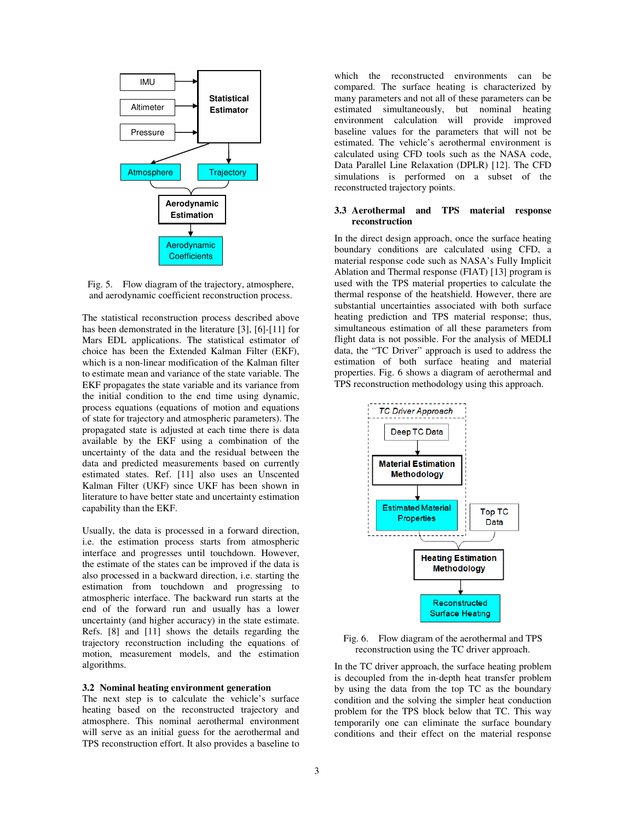

Fig. 5. Flow diagram of the trajectory, atmosphere, and aerodynamic coefficient reconstruction process.

The statistical reconstruction process described above has been demonstrated in the literature [3], [6]-[11] for Mars EDL applications. The statistical estimator of choice has been the Extended Kalman Filter (EKF), which is a non-linear modification of the Kalman filter to estimate mean and variance of the state variable. The EKF propagates the state variable and its variance from the initial condition to the end time using dynamic, process equations (equations of motion and equations of state for trajectory and atmospheric parameters). The propagated state is adjusted at each time there is data available by the EKF using a combination of the uncertainty of the data and the residual between the data and predicted measurements based on currently estimated states. Ref. [11] also uses an Unscented Kalman Filter (UKF) since UKF has been shown in literature to have better state and uncertainty estimation capability than the EKF.

Usually, the data is processed in a forward direction, i.e. the estimation process starts from atmospheric interface and progresses until touchdown. However, the estimate of the states can be improved if the data is also processed in a backward direction, i.e. starting the estimation from touchdown and progressing to atmospheric interface. The backward run starts at the end of the forward run and usually has a lower uncertainty (and higher accuracy) in the state estimate. Refs. [8] and [11] shows the details regarding the trajectory reconstruction including the equations of motion, measurement models, and the estimation algorithms.

### **3.2 Nominal heating environment generation**

The next step is to calculate the vehicle's surface heating based on the reconstructed trajectory and atmosphere. This nominal aerothermal environment will serve as an initial guess for the aerothermal and TPS reconstruction effort. It also provides a baseline to

which the reconstructed environments can be compared. The surface heating is characterized by many parameters and not all of these parameters can be estimated simultaneously, but nominal heating environment calculation will provide improved baseline values for the parameters that will not be estimated. The vehicle's aerothermal environment is calculated using CFD tools such as the NASA code, Data Parallel Line Relaxation (DPLR) [12]. The CFD simulations is performed on a subset of the reconstructed trajectory points.

# **3.3 Aerothermal and TPS material response reconstruction**

In the direct design approach, once the surface heating boundary conditions are calculated using CFD, a material response code such as NASA's Fully Implicit Ablation and Thermal response (FIAT) [13] program is used with the TPS material properties to calculate the thermal response of the heatshield. However, there are substantial uncertainties associated with both surface heating prediction and TPS material response; thus, simultaneous estimation of all these parameters from flight data is not possible. For the analysis of MEDLI data, the "TC Driver" approach is used to address the estimation of both surface heating and material properties. Fig. 6 shows a diagram of aerothermal and TPS reconstruction methodology using this approach.



Fig. 6. Flow diagram of the aerothermal and TPS reconstruction using the TC driver approach.

In the TC driver approach, the surface heating problem is decoupled from the in-depth heat transfer problem by using the data from the top TC as the boundary condition and the solving the simpler heat conduction problem for the TPS block below that TC. This way temporarily one can eliminate the surface boundary conditions and their effect on the material response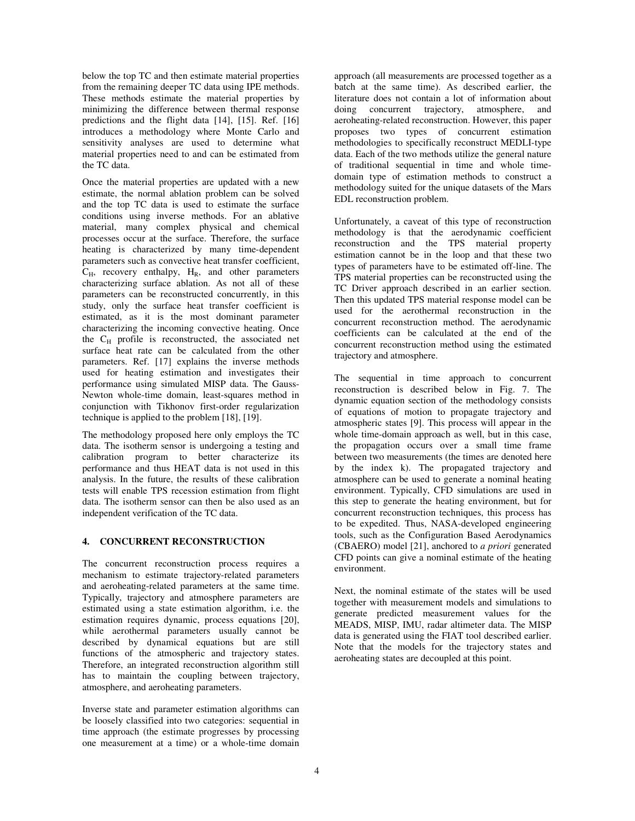below the top TC and then estimate material properties from the remaining deeper TC data using IPE methods. These methods estimate the material properties by minimizing the difference between thermal response predictions and the flight data [14], [15]. Ref. [16] introduces a methodology where Monte Carlo and sensitivity analyses are used to determine what material properties need to and can be estimated from the TC data.

Once the material properties are updated with a new estimate, the normal ablation problem can be solved and the top TC data is used to estimate the surface conditions using inverse methods. For an ablative material, many complex physical and chemical processes occur at the surface. Therefore, the surface heating is characterized by many time-dependent parameters such as convective heat transfer coefficient,  $C_H$ , recovery enthalpy,  $H_R$ , and other parameters characterizing surface ablation. As not all of these parameters can be reconstructed concurrently, in this study, only the surface heat transfer coefficient is estimated, as it is the most dominant parameter characterizing the incoming convective heating. Once the  $C_H$  profile is reconstructed, the associated net surface heat rate can be calculated from the other parameters. Ref. [17] explains the inverse methods used for heating estimation and investigates their performance using simulated MISP data. The Gauss-Newton whole-time domain, least-squares method in conjunction with Tikhonov first-order regularization technique is applied to the problem [18], [19].

The methodology proposed here only employs the TC data. The isotherm sensor is undergoing a testing and calibration program to better characterize its performance and thus HEAT data is not used in this analysis. In the future, the results of these calibration tests will enable TPS recession estimation from flight data. The isotherm sensor can then be also used as an independent verification of the TC data.

# **4. CONCURRENT RECONSTRUCTION**

The concurrent reconstruction process requires a mechanism to estimate trajectory-related parameters and aeroheating-related parameters at the same time. Typically, trajectory and atmosphere parameters are estimated using a state estimation algorithm, i.e. the estimation requires dynamic, process equations [20], while aerothermal parameters usually cannot be described by dynamical equations but are still functions of the atmospheric and trajectory states. Therefore, an integrated reconstruction algorithm still has to maintain the coupling between trajectory, atmosphere, and aeroheating parameters.

Inverse state and parameter estimation algorithms can be loosely classified into two categories: sequential in time approach (the estimate progresses by processing one measurement at a time) or a whole-time domain approach (all measurements are processed together as a batch at the same time). As described earlier, the literature does not contain a lot of information about doing concurrent trajectory, atmosphere, and aeroheating-related reconstruction. However, this paper proposes two types of concurrent estimation methodologies to specifically reconstruct MEDLI-type data. Each of the two methods utilize the general nature of traditional sequential in time and whole timedomain type of estimation methods to construct a methodology suited for the unique datasets of the Mars EDL reconstruction problem.

Unfortunately, a caveat of this type of reconstruction methodology is that the aerodynamic coefficient reconstruction and the TPS material property estimation cannot be in the loop and that these two types of parameters have to be estimated off-line. The TPS material properties can be reconstructed using the TC Driver approach described in an earlier section. Then this updated TPS material response model can be used for the aerothermal reconstruction in the concurrent reconstruction method. The aerodynamic coefficients can be calculated at the end of the concurrent reconstruction method using the estimated trajectory and atmosphere.

The sequential in time approach to concurrent reconstruction is described below in Fig. 7. The dynamic equation section of the methodology consists of equations of motion to propagate trajectory and atmospheric states [9]. This process will appear in the whole time-domain approach as well, but in this case, the propagation occurs over a small time frame between two measurements (the times are denoted here by the index k). The propagated trajectory and atmosphere can be used to generate a nominal heating environment. Typically, CFD simulations are used in this step to generate the heating environment, but for concurrent reconstruction techniques, this process has to be expedited. Thus, NASA-developed engineering tools, such as the Configuration Based Aerodynamics (CBAERO) model [21], anchored to *a priori* generated CFD points can give a nominal estimate of the heating environment.

Next, the nominal estimate of the states will be used together with measurement models and simulations to generate predicted measurement values for the MEADS, MISP, IMU, radar altimeter data. The MISP data is generated using the FIAT tool described earlier. Note that the models for the trajectory states and aeroheating states are decoupled at this point.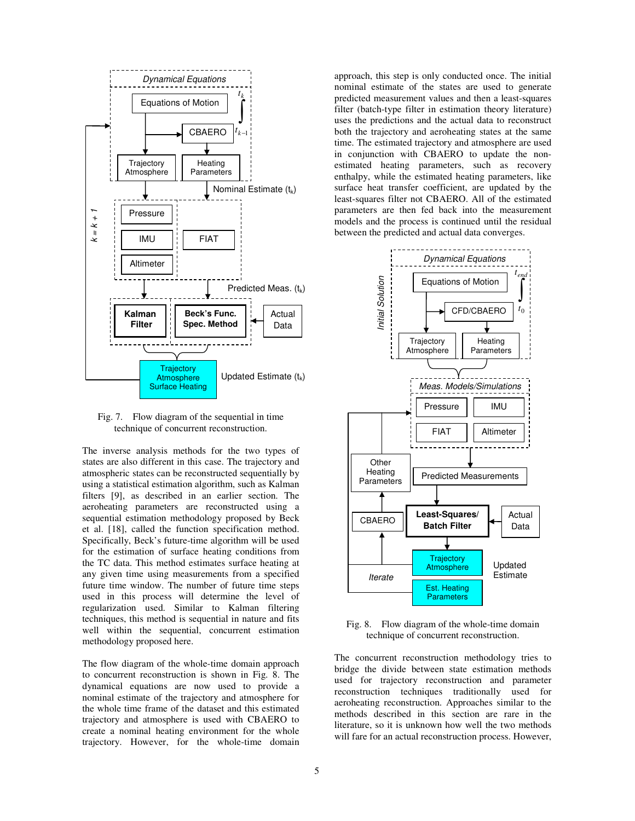

Fig. 7. Flow diagram of the sequential in time technique of concurrent reconstruction.

The inverse analysis methods for the two types of states are also different in this case. The trajectory and atmospheric states can be reconstructed sequentially by using a statistical estimation algorithm, such as Kalman filters [9], as described in an earlier section. The aeroheating parameters are reconstructed using a sequential estimation methodology proposed by Beck et al. [18], called the function specification method. Specifically, Beck's future-time algorithm will be used for the estimation of surface heating conditions from the TC data. This method estimates surface heating at any given time using measurements from a specified future time window. The number of future time steps used in this process will determine the level of regularization used. Similar to Kalman filtering techniques, this method is sequential in nature and fits well within the sequential, concurrent estimation methodology proposed here.

The flow diagram of the whole-time domain approach to concurrent reconstruction is shown in Fig. 8. The dynamical equations are now used to provide a nominal estimate of the trajectory and atmosphere for the whole time frame of the dataset and this estimated trajectory and atmosphere is used with CBAERO to create a nominal heating environment for the whole trajectory. However, for the whole-time domain

approach, this step is only conducted once. The initial nominal estimate of the states are used to generate predicted measurement values and then a least-squares filter (batch-type filter in estimation theory literature) uses the predictions and the actual data to reconstruct both the trajectory and aeroheating states at the same time. The estimated trajectory and atmosphere are used in conjunction with CBAERO to update the nonestimated heating parameters, such as recovery enthalpy, while the estimated heating parameters, like surface heat transfer coefficient, are updated by the least-squares filter not CBAERO. All of the estimated parameters are then fed back into the measurement models and the process is continued until the residual between the predicted and actual data converges.



Fig. 8. Flow diagram of the whole-time domain technique of concurrent reconstruction.

The concurrent reconstruction methodology tries to bridge the divide between state estimation methods used for trajectory reconstruction and parameter reconstruction techniques traditionally used for aeroheating reconstruction. Approaches similar to the methods described in this section are rare in the literature, so it is unknown how well the two methods will fare for an actual reconstruction process. However,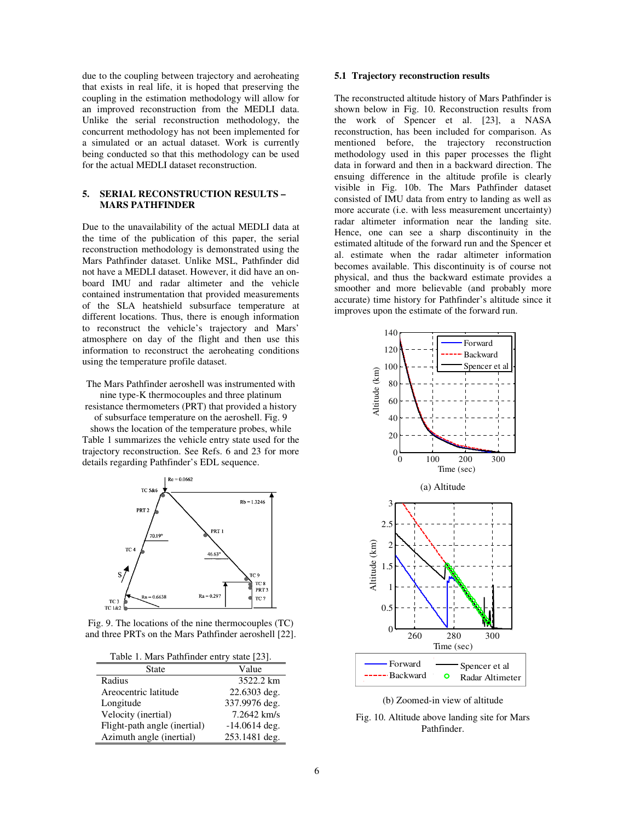due to the coupling between trajectory and aeroheating that exists in real life, it is hoped that preserving the coupling in the estimation methodology will allow for an improved reconstruction from the MEDLI data. Unlike the serial reconstruction methodology, the concurrent methodology has not been implemented for a simulated or an actual dataset. Work is currently being conducted so that this methodology can be used for the actual MEDLI dataset reconstruction.

# **5. SERIAL RECONSTRUCTION RESULTS – MARS PATHFINDER**

Due to the unavailability of the actual MEDLI data at the time of the publication of this paper, the serial reconstruction methodology is demonstrated using the Mars Pathfinder dataset. Unlike MSL, Pathfinder did not have a MEDLI dataset. However, it did have an onboard IMU and radar altimeter and the vehicle contained instrumentation that provided measurements of the SLA heatshield subsurface temperature at different locations. Thus, there is enough information to reconstruct the vehicle's trajectory and Mars' atmosphere on day of the flight and then use this information to reconstruct the aeroheating conditions using the temperature profile dataset.

The Mars Pathfinder aeroshell was instrumented with nine type-K thermocouples and three platinum

resistance thermometers (PRT) that provided a history of subsurface temperature on the aeroshell. Fig. 9

shows the location of the temperature probes, while Table 1 summarizes the vehicle entry state used for the trajectory reconstruction. See Refs. 6 and 23 for more details regarding Pathfinder's EDL sequence.



Fig. 9. The locations of the nine thermocouples (TC) and three PRTs on the Mars Pathfinder aeroshell [22].

| Table 1. Mars Pathfinder entry state [23]. |  |
|--------------------------------------------|--|
|--------------------------------------------|--|

| <b>State</b>                 | Value           |
|------------------------------|-----------------|
| Radius                       | 3522.2 km       |
| Areocentric latitude         | 22.6303 deg.    |
| Longitude                    | 337.9976 deg.   |
| Velocity (inertial)          | 7.2642 km/s     |
| Flight-path angle (inertial) | $-14.0614$ deg. |
| Azimuth angle (inertial)     | 253.1481 deg.   |

#### **5.1 Trajectory reconstruction results**

The reconstructed altitude history of Mars Pathfinder is shown below in Fig. 10. Reconstruction results from the work of Spencer et al. [23], a NASA reconstruction, has been included for comparison. As mentioned before, the trajectory reconstruction methodology used in this paper processes the flight data in forward and then in a backward direction. The ensuing difference in the altitude profile is clearly visible in Fig. 10b. The Mars Pathfinder dataset consisted of IMU data from entry to landing as well as more accurate (i.e. with less measurement uncertainty) radar altimeter information near the landing site. Hence, one can see a sharp discontinuity in the estimated altitude of the forward run and the Spencer et al. estimate when the radar altimeter information becomes available. This discontinuity is of course not physical, and thus the backward estimate provides a smoother and more believable (and probably more accurate) time history for Pathfinder's altitude since it improves upon the estimate of the forward run.



<sup>(</sup>b) Zoomed-in view of altitude

Fig. 10. Altitude above landing site for Mars Pathfinder.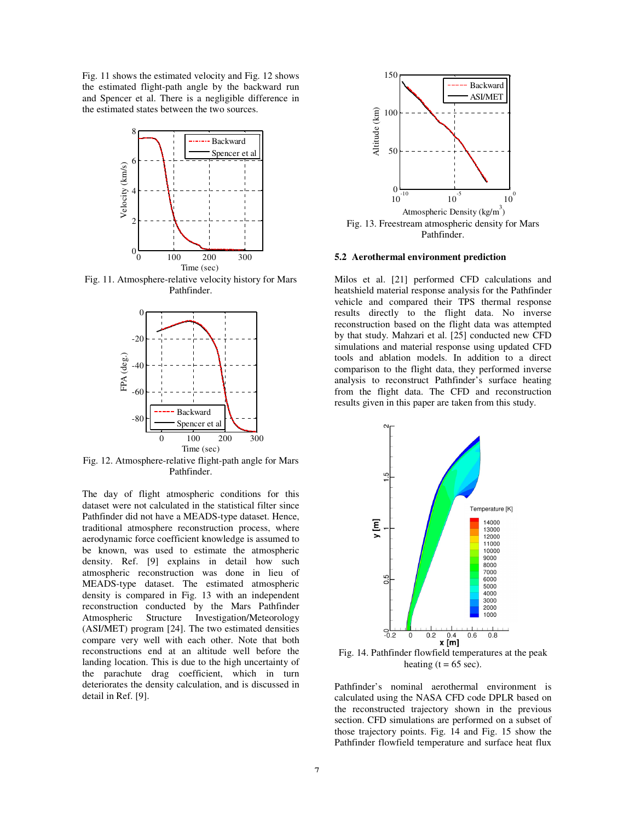Fig. 11 shows the estimated velocity and Fig. 12 shows the estimated flight-path angle by the backward run and Spencer et al. There is a negligible difference in the estimated states between the two sources.



Fig. 11. Atmosphere-relative velocity history for Mars Pathfinder.



Fig. 12. Atmosphere-relative flight-path angle for Mars Pathfinder.

The day of flight atmospheric conditions for this dataset were not calculated in the statistical filter since Pathfinder did not have a MEADS-type dataset. Hence, traditional atmosphere reconstruction process, where aerodynamic force coefficient knowledge is assumed to be known, was used to estimate the atmospheric density. Ref. [9] explains in detail how such atmospheric reconstruction was done in lieu of MEADS-type dataset. The estimated atmospheric density is compared in Fig. 13 with an independent reconstruction conducted by the Mars Pathfinder Atmospheric Structure Investigation/Meteorology (ASI/MET) program [24]. The two estimated densities compare very well with each other. Note that both reconstructions end at an altitude well before the landing location. This is due to the high uncertainty of the parachute drag coefficient, which in turn deteriorates the density calculation, and is discussed in detail in Ref. [9].



**5.2 Aerothermal environment prediction** 

Milos et al. [21] performed CFD calculations and heatshield material response analysis for the Pathfinder vehicle and compared their TPS thermal response results directly to the flight data. No inverse reconstruction based on the flight data was attempted by that study. Mahzari et al. [25] conducted new CFD simulations and material response using updated CFD tools and ablation models. In addition to a direct comparison to the flight data, they performed inverse analysis to reconstruct Pathfinder's surface heating from the flight data. The CFD and reconstruction results given in this paper are taken from this study.



Fig. 14. Pathfinder flowfield temperatures at the peak heating  $(t = 65 \text{ sec})$ .

Pathfinder's nominal aerothermal environment is calculated using the NASA CFD code DPLR based on the reconstructed trajectory shown in the previous section. CFD simulations are performed on a subset of those trajectory points. Fig. 14 and Fig. 15 show the Pathfinder flowfield temperature and surface heat flux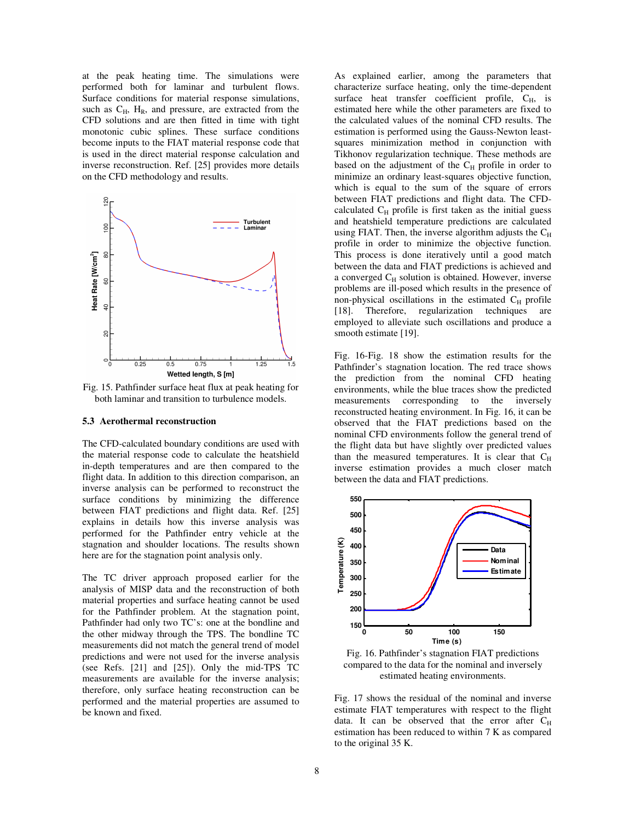at the peak heating time. The simulations were performed both for laminar and turbulent flows. Surface conditions for material response simulations, such as  $C_H$ ,  $H_R$ , and pressure, are extracted from the CFD solutions and are then fitted in time with tight monotonic cubic splines. These surface conditions become inputs to the FIAT material response code that is used in the direct material response calculation and inverse reconstruction. Ref. [25] provides more details on the CFD methodology and results.



Fig. 15. Pathfinder surface heat flux at peak heating for both laminar and transition to turbulence models.

#### **5.3 Aerothermal reconstruction**

The CFD-calculated boundary conditions are used with the material response code to calculate the heatshield in-depth temperatures and are then compared to the flight data. In addition to this direction comparison, an inverse analysis can be performed to reconstruct the surface conditions by minimizing the difference between FIAT predictions and flight data. Ref. [25] explains in details how this inverse analysis was performed for the Pathfinder entry vehicle at the stagnation and shoulder locations. The results shown here are for the stagnation point analysis only.

The TC driver approach proposed earlier for the analysis of MISP data and the reconstruction of both material properties and surface heating cannot be used for the Pathfinder problem. At the stagnation point, Pathfinder had only two TC's: one at the bondline and the other midway through the TPS. The bondline TC measurements did not match the general trend of model predictions and were not used for the inverse analysis (see Refs. [21] and [25]). Only the mid-TPS TC measurements are available for the inverse analysis; therefore, only surface heating reconstruction can be performed and the material properties are assumed to be known and fixed.

As explained earlier, among the parameters that characterize surface heating, only the time-dependent surface heat transfer coefficient profile,  $C_H$ , is estimated here while the other parameters are fixed to the calculated values of the nominal CFD results. The estimation is performed using the Gauss-Newton leastsquares minimization method in conjunction with Tikhonov regularization technique. These methods are based on the adjustment of the  $C_H$  profile in order to minimize an ordinary least-squares objective function, which is equal to the sum of the square of errors between FIAT predictions and flight data. The CFDcalculated  $C_H$  profile is first taken as the initial guess and heatshield temperature predictions are calculated using FIAT. Then, the inverse algorithm adjusts the  $C_H$ profile in order to minimize the objective function. This process is done iteratively until a good match between the data and FIAT predictions is achieved and a converged  $C_H$  solution is obtained. However, inverse problems are ill-posed which results in the presence of non-physical oscillations in the estimated  $C_H$  profile [18]. Therefore, regularization techniques are employed to alleviate such oscillations and produce a smooth estimate [19].

Fig. 16-Fig. 18 show the estimation results for the Pathfinder's stagnation location. The red trace shows the prediction from the nominal CFD heating environments, while the blue traces show the predicted measurements corresponding to the inversely reconstructed heating environment. In Fig. 16, it can be observed that the FIAT predictions based on the nominal CFD environments follow the general trend of the flight data but have slightly over predicted values than the measured temperatures. It is clear that  $C_H$ inverse estimation provides a much closer match between the data and FIAT predictions.



Fig. 16. Pathfinder's stagnation FIAT predictions compared to the data for the nominal and inversely estimated heating environments.

Fig. 17 shows the residual of the nominal and inverse estimate FIAT temperatures with respect to the flight data. It can be observed that the error after  $C_H$ estimation has been reduced to within 7 K as compared to the original 35 K.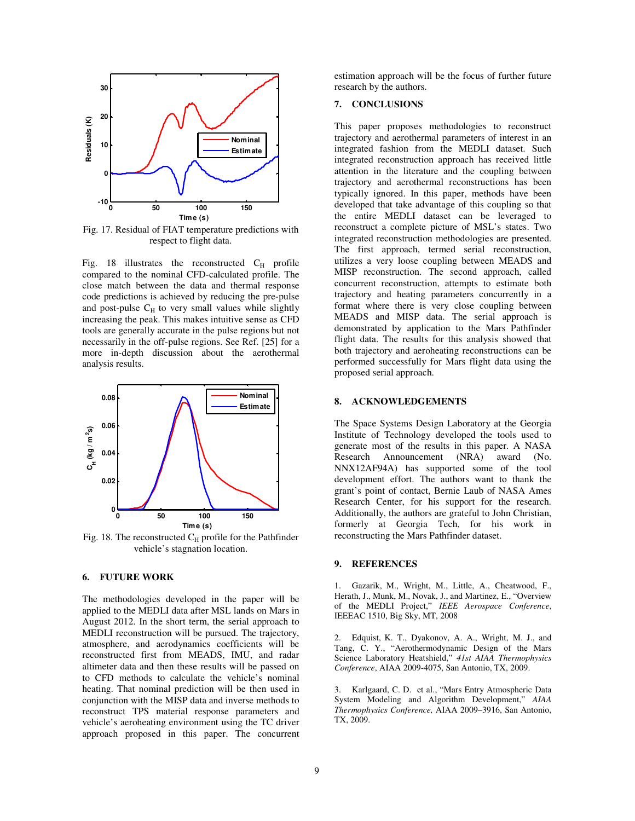

Fig. 17. Residual of FIAT temperature predictions with respect to flight data.

Fig. 18 illustrates the reconstructed  $C_H$  profile compared to the nominal CFD-calculated profile. The close match between the data and thermal response code predictions is achieved by reducing the pre-pulse and post-pulse  $C_H$  to very small values while slightly increasing the peak. This makes intuitive sense as CFD tools are generally accurate in the pulse regions but not necessarily in the off-pulse regions. See Ref. [25] for a more in-depth discussion about the aerothermal analysis results.



Fig. 18. The reconstructed  $C_H$  profile for the Pathfinder vehicle's stagnation location.

# **6. FUTURE WORK**

The methodologies developed in the paper will be applied to the MEDLI data after MSL lands on Mars in August 2012. In the short term, the serial approach to MEDLI reconstruction will be pursued. The trajectory, atmosphere, and aerodynamics coefficients will be reconstructed first from MEADS, IMU, and radar altimeter data and then these results will be passed on to CFD methods to calculate the vehicle's nominal heating. That nominal prediction will be then used in conjunction with the MISP data and inverse methods to reconstruct TPS material response parameters and vehicle's aeroheating environment using the TC driver approach proposed in this paper. The concurrent estimation approach will be the focus of further future research by the authors.

# **7. CONCLUSIONS**

This paper proposes methodologies to reconstruct trajectory and aerothermal parameters of interest in an integrated fashion from the MEDLI dataset. Such integrated reconstruction approach has received little attention in the literature and the coupling between trajectory and aerothermal reconstructions has been typically ignored. In this paper, methods have been developed that take advantage of this coupling so that the entire MEDLI dataset can be leveraged to reconstruct a complete picture of MSL's states. Two integrated reconstruction methodologies are presented. The first approach, termed serial reconstruction, utilizes a very loose coupling between MEADS and MISP reconstruction. The second approach, called concurrent reconstruction, attempts to estimate both trajectory and heating parameters concurrently in a format where there is very close coupling between MEADS and MISP data. The serial approach is demonstrated by application to the Mars Pathfinder flight data. The results for this analysis showed that both trajectory and aeroheating reconstructions can be performed successfully for Mars flight data using the proposed serial approach.

# **8. ACKNOWLEDGEMENTS**

The Space Systems Design Laboratory at the Georgia Institute of Technology developed the tools used to generate most of the results in this paper. A NASA Research Announcement (NRA) award (No. NNX12AF94A) has supported some of the tool development effort. The authors want to thank the grant's point of contact, Bernie Laub of NASA Ames Research Center, for his support for the research. Additionally, the authors are grateful to John Christian, formerly at Georgia Tech, for his work in reconstructing the Mars Pathfinder dataset.

# **9. REFERENCES**

1. Gazarik, M., Wright, M., Little, A., Cheatwood, F., Herath, J., Munk, M., Novak, J., and Martinez, E., "Overview of the MEDLI Project," *IEEE Aerospace Conference*, IEEEAC 1510, Big Sky, MT, 2008

2. Edquist, K. T., Dyakonov, A. A., Wright, M. J., and Tang, C. Y., "Aerothermodynamic Design of the Mars Science Laboratory Heatshield," *41st AIAA Thermophysics Conference*, AIAA 2009-4075, San Antonio, TX, 2009.

3. Karlgaard, C. D. et al., "Mars Entry Atmospheric Data System Modeling and Algorithm Development," *AIAA Thermophysics Conference,* AIAA 2009–3916, San Antonio, TX, 2009.